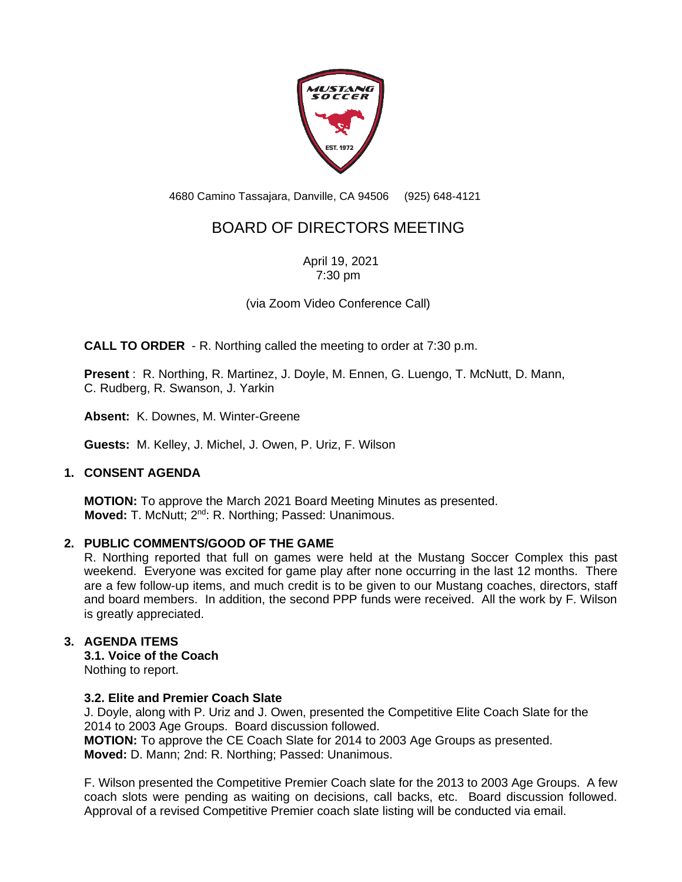

4680 Camino Tassajara, Danville, CA 94506 (925) 648-4121

# BOARD OF DIRECTORS MEETING

April 19, 2021 7:30 pm

(via Zoom Video Conference Call)

**CALL TO ORDER** - R. Northing called the meeting to order at 7:30 p.m.

**Present** : R. Northing, R. Martinez, J. Doyle, M. Ennen, G. Luengo, T. McNutt, D. Mann, C. Rudberg, R. Swanson, J. Yarkin

**Absent:** K. Downes, M. Winter-Greene

**Guests:** M. Kelley, J. Michel, J. Owen, P. Uriz, F. Wilson

## **1. CONSENT AGENDA**

**MOTION:** To approve the March 2021 Board Meeting Minutes as presented. **Moved:** T. McNutt; 2<sup>nd</sup>: R. Northing; Passed: Unanimous.

## **2. PUBLIC COMMENTS/GOOD OF THE GAME**

R. Northing reported that full on games were held at the Mustang Soccer Complex this past weekend. Everyone was excited for game play after none occurring in the last 12 months. There are a few follow-up items, and much credit is to be given to our Mustang coaches, directors, staff and board members. In addition, the second PPP funds were received. All the work by F. Wilson is greatly appreciated.

## **3. AGENDA ITEMS**

**3.1. Voice of the Coach** Nothing to report.

#### **3.2. Elite and Premier Coach Slate**

J. Doyle, along with P. Uriz and J. Owen, presented the Competitive Elite Coach Slate for the 2014 to 2003 Age Groups. Board discussion followed. **MOTION:** To approve the CE Coach Slate for 2014 to 2003 Age Groups as presented. **Moved:** D. Mann; 2nd: R. Northing; Passed: Unanimous.

F. Wilson presented the Competitive Premier Coach slate for the 2013 to 2003 Age Groups. A few coach slots were pending as waiting on decisions, call backs, etc. Board discussion followed. Approval of a revised Competitive Premier coach slate listing will be conducted via email.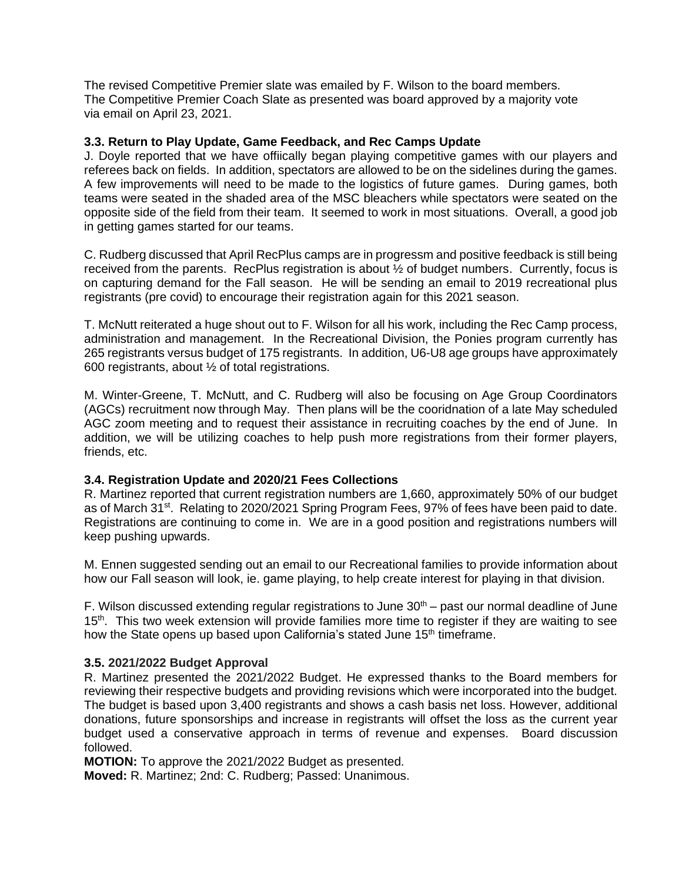The revised Competitive Premier slate was emailed by F. Wilson to the board members. The Competitive Premier Coach Slate as presented was board approved by a majority vote via email on April 23, 2021.

#### **3.3. Return to Play Update, Game Feedback, and Rec Camps Update**

J. Doyle reported that we have offiically began playing competitive games with our players and referees back on fields. In addition, spectators are allowed to be on the sidelines during the games. A few improvements will need to be made to the logistics of future games. During games, both teams were seated in the shaded area of the MSC bleachers while spectators were seated on the opposite side of the field from their team. It seemed to work in most situations. Overall, a good job in getting games started for our teams.

C. Rudberg discussed that April RecPlus camps are in progressm and positive feedback is still being received from the parents. RecPlus registration is about ½ of budget numbers. Currently, focus is on capturing demand for the Fall season. He will be sending an email to 2019 recreational plus registrants (pre covid) to encourage their registration again for this 2021 season.

T. McNutt reiterated a huge shout out to F. Wilson for all his work, including the Rec Camp process, administration and management. In the Recreational Division, the Ponies program currently has 265 registrants versus budget of 175 registrants. In addition, U6-U8 age groups have approximately 600 registrants, about ½ of total registrations.

M. Winter-Greene, T. McNutt, and C. Rudberg will also be focusing on Age Group Coordinators (AGCs) recruitment now through May. Then plans will be the cooridnation of a late May scheduled AGC zoom meeting and to request their assistance in recruiting coaches by the end of June. In addition, we will be utilizing coaches to help push more registrations from their former players, friends, etc.

## **3.4. Registration Update and 2020/21 Fees Collections**

R. Martinez reported that current registration numbers are 1,660, approximately 50% of our budget as of March 31<sup>st</sup>. Relating to 2020/2021 Spring Program Fees, 97% of fees have been paid to date. Registrations are continuing to come in. We are in a good position and registrations numbers will keep pushing upwards.

M. Ennen suggested sending out an email to our Recreational families to provide information about how our Fall season will look, ie. game playing, to help create interest for playing in that division.

F. Wilson discussed extending regular registrations to June  $30<sup>th</sup>$  – past our normal deadline of June 15<sup>th</sup>. This two week extension will provide families more time to register if they are waiting to see how the State opens up based upon California's stated June 15<sup>th</sup> timeframe.

## **3.5. 2021/2022 Budget Approval**

R. Martinez presented the 2021/2022 Budget. He expressed thanks to the Board members for reviewing their respective budgets and providing revisions which were incorporated into the budget. The budget is based upon 3,400 registrants and shows a cash basis net loss. However, additional donations, future sponsorships and increase in registrants will offset the loss as the current year budget used a conservative approach in terms of revenue and expenses. Board discussion followed.

**MOTION:** To approve the 2021/2022 Budget as presented.

**Moved:** R. Martinez; 2nd: C. Rudberg; Passed: Unanimous.